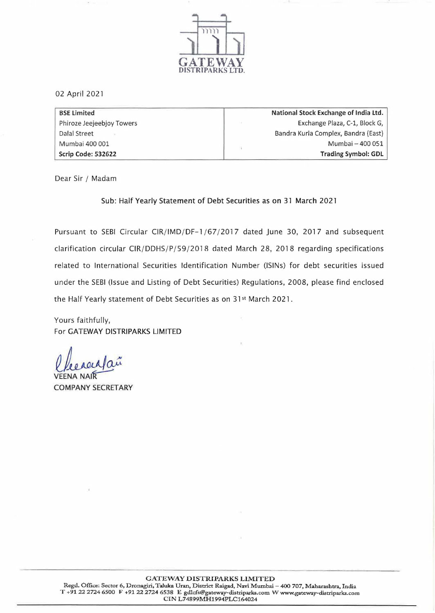

02 April 2021

| <b>BSE Limited</b>        | National Stock Exchange of India Ltd. |
|---------------------------|---------------------------------------|
| Phiroze Jeejeebjoy Towers | Exchange Plaza, C-1, Block G,         |
| Dalal Street              | Bandra Kurla Complex, Bandra (East)   |
| Mumbai 400 001            | Mumbai - 400 051                      |
| Scrip Code: 532622        | <b>Trading Symbol: GDL</b>            |

Dear Sir / Madam

Sub: Half Yearly Statement of Debt Securities as on 31 March 2021

Pursuant to SEBI Circular CIR/IMD/DF-1 /67/2017 dated June 30, 2017 and subsequent clarification circular CIR/DDHS/P/59/2018 dated March 28, 2018 regarding specifications related to International Securities Identification Number (ISINs) for debt securities issued under the SEBI (Issue and Listing of Debt Securities) Regulations, 2008, please find enclosed the Half Yearly statement of Debt Securities as on 31<sup>st</sup> March 2021.

Yours faithfully, For GATEWAY DISTRIPARKS LIMITED

llecaeufau

VEENA NAI COMPANY SECRETARY